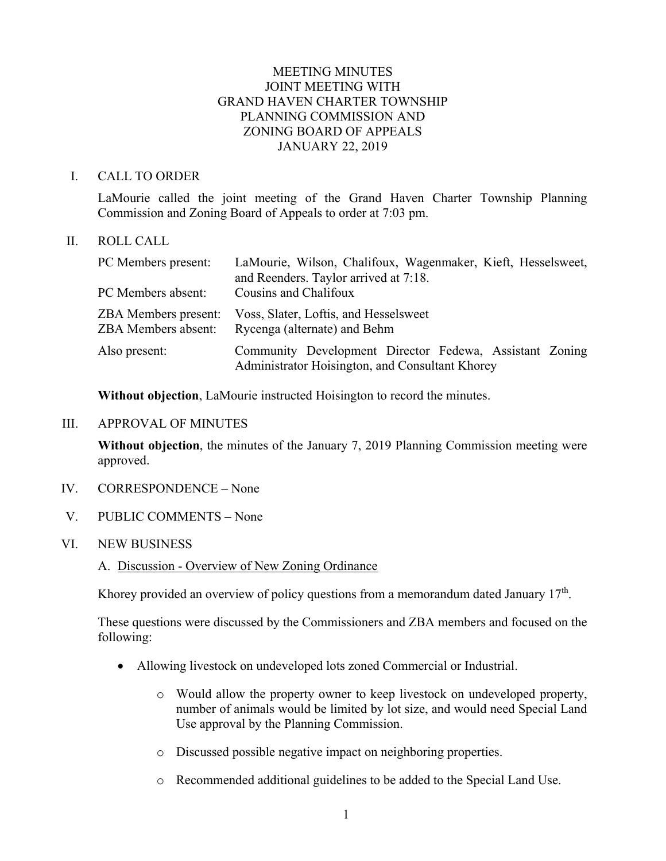# MEETING MINUTES JOINT MEETING WITH GRAND HAVEN CHARTER TOWNSHIP PLANNING COMMISSION AND ZONING BOARD OF APPEALS JANUARY 22, 2019

## I. CALL TO ORDER

LaMourie called the joint meeting of the Grand Haven Charter Township Planning Commission and Zoning Board of Appeals to order at 7:03 pm.

### II. ROLL CALL

| PC Members present:                                       | LaMourie, Wilson, Chalifoux, Wagenmaker, Kieft, Hesselsweet,<br>and Reenders. Taylor arrived at 7:18.      |
|-----------------------------------------------------------|------------------------------------------------------------------------------------------------------------|
| PC Members absent:                                        | Cousins and Chalifoux                                                                                      |
| <b>ZBA</b> Members present:<br><b>ZBA Members absent:</b> | Voss, Slater, Loftis, and Hesselsweet<br>Rycenga (alternate) and Behm                                      |
| Also present:                                             | Community Development Director Fedewa, Assistant Zoning<br>Administrator Hoisington, and Consultant Khorey |

**Without objection**, LaMourie instructed Hoisington to record the minutes.

### III. APPROVAL OF MINUTES

**Without objection**, the minutes of the January 7, 2019 Planning Commission meeting were approved.

- IV. CORRESPONDENCE None
- V. PUBLIC COMMENTS None
- VI. NEW BUSINESS
	- A. Discussion Overview of New Zoning Ordinance

Khorey provided an overview of policy questions from a memorandum dated January  $17<sup>th</sup>$ .

These questions were discussed by the Commissioners and ZBA members and focused on the following:

- Allowing livestock on undeveloped lots zoned Commercial or Industrial.
	- o Would allow the property owner to keep livestock on undeveloped property, number of animals would be limited by lot size, and would need Special Land Use approval by the Planning Commission.
	- o Discussed possible negative impact on neighboring properties.
	- o Recommended additional guidelines to be added to the Special Land Use.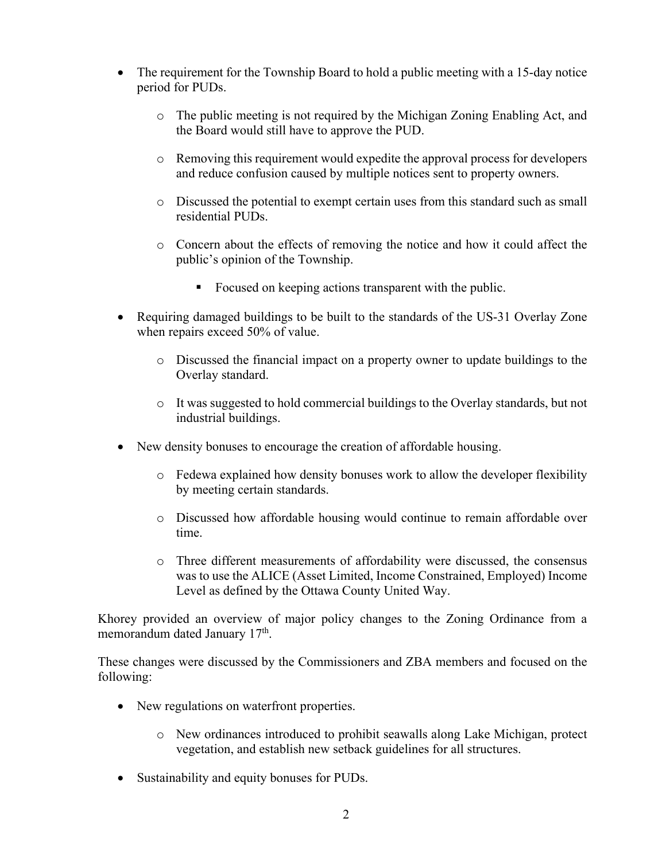- The requirement for the Township Board to hold a public meeting with a 15-day notice period for PUDs.
	- o The public meeting is not required by the Michigan Zoning Enabling Act, and the Board would still have to approve the PUD.
	- o Removing this requirement would expedite the approval process for developers and reduce confusion caused by multiple notices sent to property owners.
	- o Discussed the potential to exempt certain uses from this standard such as small residential PUDs.
	- o Concern about the effects of removing the notice and how it could affect the public's opinion of the Township.
		- Focused on keeping actions transparent with the public.
- Requiring damaged buildings to be built to the standards of the US-31 Overlay Zone when repairs exceed 50% of value.
	- o Discussed the financial impact on a property owner to update buildings to the Overlay standard.
	- o It was suggested to hold commercial buildings to the Overlay standards, but not industrial buildings.
- New density bonuses to encourage the creation of affordable housing.
	- o Fedewa explained how density bonuses work to allow the developer flexibility by meeting certain standards.
	- o Discussed how affordable housing would continue to remain affordable over time.
	- o Three different measurements of affordability were discussed, the consensus was to use the ALICE (Asset Limited, Income Constrained, Employed) Income Level as defined by the Ottawa County United Way.

Khorey provided an overview of major policy changes to the Zoning Ordinance from a memorandum dated January  $17<sup>th</sup>$ .

These changes were discussed by the Commissioners and ZBA members and focused on the following:

- New regulations on waterfront properties.
	- o New ordinances introduced to prohibit seawalls along Lake Michigan, protect vegetation, and establish new setback guidelines for all structures.
- Sustainability and equity bonuses for PUDs.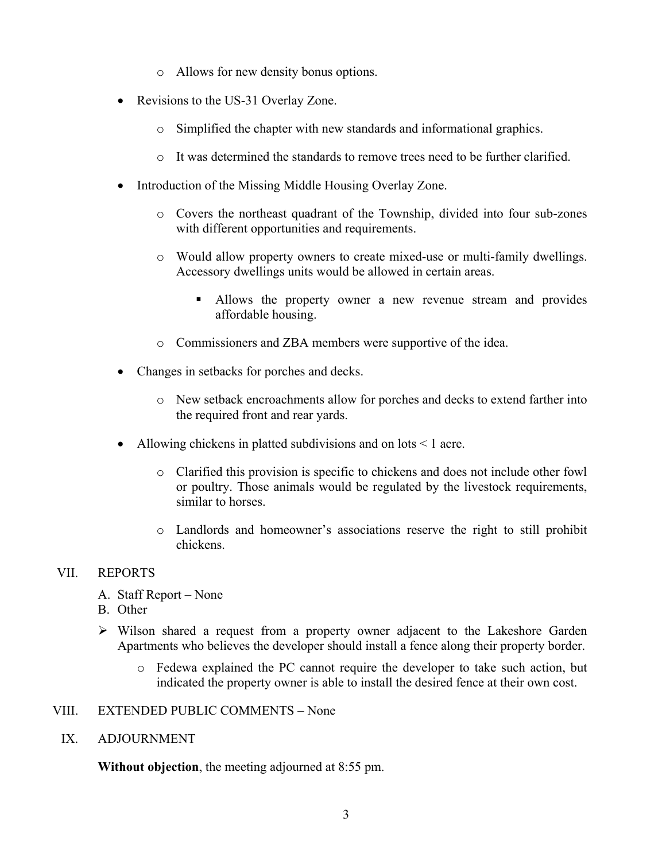- o Allows for new density bonus options.
- Revisions to the US-31 Overlay Zone.
	- o Simplified the chapter with new standards and informational graphics.
	- o It was determined the standards to remove trees need to be further clarified.
- Introduction of the Missing Middle Housing Overlay Zone.
	- o Covers the northeast quadrant of the Township, divided into four sub-zones with different opportunities and requirements.
	- o Would allow property owners to create mixed-use or multi-family dwellings. Accessory dwellings units would be allowed in certain areas.
		- Allows the property owner a new revenue stream and provides affordable housing.
	- o Commissioners and ZBA members were supportive of the idea.
- Changes in setbacks for porches and decks.
	- o New setback encroachments allow for porches and decks to extend farther into the required front and rear yards.
- Allowing chickens in platted subdivisions and on lots < 1 acre.
	- o Clarified this provision is specific to chickens and does not include other fowl or poultry. Those animals would be regulated by the livestock requirements, similar to horses.
	- o Landlords and homeowner's associations reserve the right to still prohibit chickens.

## VII. REPORTS

- A. Staff Report None
- B. Other
- Wilson shared a request from a property owner adjacent to the Lakeshore Garden Apartments who believes the developer should install a fence along their property border.
	- o Fedewa explained the PC cannot require the developer to take such action, but indicated the property owner is able to install the desired fence at their own cost.
- VIII. EXTENDED PUBLIC COMMENTS None
	- IX. ADJOURNMENT

**Without objection**, the meeting adjourned at 8:55 pm.